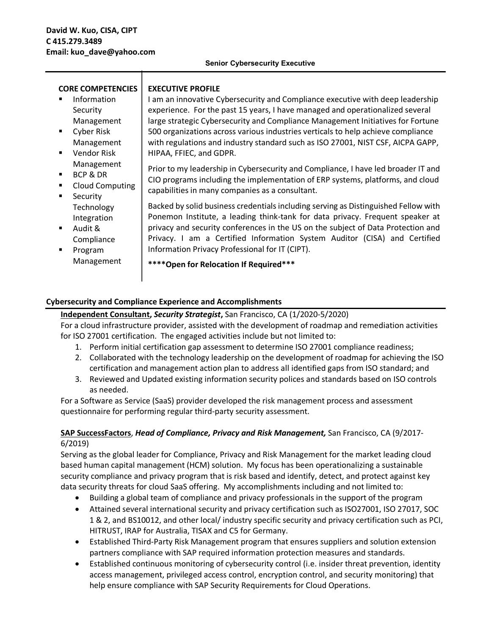|  | <b>Senior Cybersecurity Executive</b> |  |
|--|---------------------------------------|--|
|--|---------------------------------------|--|

| <b>CORE COMPETENCIES</b> |                                                                   | <b>EXECUTIVE PROFILE</b>                                                                                                                                                                                                                                                                                                                                                                                                  |  |
|--------------------------|-------------------------------------------------------------------|---------------------------------------------------------------------------------------------------------------------------------------------------------------------------------------------------------------------------------------------------------------------------------------------------------------------------------------------------------------------------------------------------------------------------|--|
| $\blacksquare$           | Information<br>Security<br>Management<br>Cyber Risk<br>Management | I am an innovative Cybersecurity and Compliance executive with deep leadership<br>experience. For the past 15 years, I have managed and operationalized several<br>large strategic Cybersecurity and Compliance Management Initiatives for Fortune<br>500 organizations across various industries verticals to help achieve compliance<br>with regulations and industry standard such as ISO 27001, NIST CSF, AICPA GAPP, |  |
| $\blacksquare$           | <b>Vendor Risk</b>                                                | HIPAA, FFIEC, and GDPR.                                                                                                                                                                                                                                                                                                                                                                                                   |  |
| ٠                        | Management<br>BCP & DR<br><b>Cloud Computing</b><br>Security      | Prior to my leadership in Cybersecurity and Compliance, I have led broader IT and<br>CIO programs including the implementation of ERP systems, platforms, and cloud<br>capabilities in many companies as a consultant.                                                                                                                                                                                                    |  |
|                          | Technology<br>Integration                                         | Backed by solid business credentials including serving as Distinguished Fellow with<br>Ponemon Institute, a leading think-tank for data privacy. Frequent speaker at<br>privacy and security conferences in the US on the subject of Data Protection and                                                                                                                                                                  |  |
| ٠                        | Audit &<br>Compliance                                             | Privacy. I am a Certified Information System Auditor (CISA) and Certified                                                                                                                                                                                                                                                                                                                                                 |  |
|                          | Program<br>Management                                             | Information Privacy Professional for IT (CIPT).<br>**** Open for Relocation If Required***                                                                                                                                                                                                                                                                                                                                |  |

### **Cybersecurity and Compliance Experience and Accomplishments**

#### **Independent Consultant,** *Security Strategist***,** San Francisco, CA (1/2020-5/2020)

For a cloud infrastructure provider, assisted with the development of roadmap and remediation activities for ISO 27001 certification. The engaged activities include but not limited to:

- 1. Perform initial certification gap assessment to determine ISO 27001 compliance readiness;
- 2. Collaborated with the technology leadership on the development of roadmap for achieving the ISO certification and management action plan to address all identified gaps from ISO standard; and
- 3. Reviewed and Updated existing information security polices and standards based on ISO controls as needed.

For a Software as Service (SaaS) provider developed the risk management process and assessment questionnaire for performing regular third-party security assessment.

### **SAP SuccessFactors**, *Head of Compliance, Privacy and Risk Management,* San Francisco, CA (9/2017- 6/2019)

Serving as the global leader for Compliance, Privacy and Risk Management for the market leading cloud based human capital management (HCM) solution. My focus has been operationalizing a sustainable security compliance and privacy program that is risk based and identify, detect, and protect against key data security threats for cloud SaaS offering. My accomplishments including and not limited to:

- Building a global team of compliance and privacy professionals in the support of the program
- Attained several international security and privacy certification such as ISO27001, ISO 27017, SOC 1 & 2, and BS10012, and other local/ industry specific security and privacy certification such as PCI, HITRUST, IRAP for Australia, TISAX and C5 for Germany.
- Established Third-Party Risk Management program that ensures suppliers and solution extension partners compliance with SAP required information protection measures and standards.
- Established continuous monitoring of cybersecurity control (i.e. insider threat prevention, identity access management, privileged access control, encryption control, and security monitoring) that help ensure compliance with SAP Security Requirements for Cloud Operations.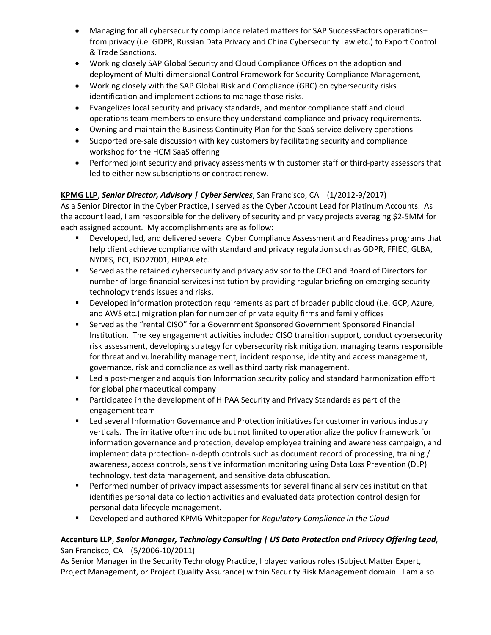- Managing for all cybersecurity compliance related matters for SAP SuccessFactors operationsfrom privacy (i.e. GDPR, Russian Data Privacy and China Cybersecurity Law etc.) to Export Control & Trade Sanctions.
- Working closely SAP Global Security and Cloud Compliance Offices on the adoption and deployment of Multi-dimensional Control Framework for Security Compliance Management,
- Working closely with the SAP Global Risk and Compliance (GRC) on cybersecurity risks identification and implement actions to manage those risks.
- Evangelizes local security and privacy standards, and mentor compliance staff and cloud operations team members to ensure they understand compliance and privacy requirements.
- Owning and maintain the Business Continuity Plan for the SaaS service delivery operations
- Supported pre-sale discussion with key customers by facilitating security and compliance workshop for the HCM SaaS offering
- Performed joint security and privacy assessments with customer staff or third-party assessors that led to either new subscriptions or contract renew.

# **KPMG LLP**, *Senior Director, Advisory | Cyber Services*, San Francisco, CA (1/2012-9/2017)

As a Senior Director in the Cyber Practice, I served as the Cyber Account Lead for Platinum Accounts. As the account lead, I am responsible for the delivery of security and privacy projects averaging \$2-5MM for each assigned account. My accomplishments are as follow:

- § Developed, led, and delivered several Cyber Compliance Assessment and Readiness programs that help client achieve compliance with standard and privacy regulation such as GDPR, FFIEC, GLBA, NYDFS, PCI, ISO27001, HIPAA etc.
- Served as the retained cybersecurity and privacy advisor to the CEO and Board of Directors for number of large financial services institution by providing regular briefing on emerging security technology trends issues and risks.
- Developed information protection requirements as part of broader public cloud (i.e. GCP, Azure, and AWS etc.) migration plan for number of private equity firms and family offices
- Served as the "rental CISO" for a Government Sponsored Government Sponsored Financial Institution. The key engagement activities included CISO transition support, conduct cybersecurity risk assessment, developing strategy for cybersecurity risk mitigation, managing teams responsible for threat and vulnerability management, incident response, identity and access management, governance, risk and compliance as well as third party risk management.
- Led a post-merger and acquisition Information security policy and standard harmonization effort for global pharmaceutical company
- Participated in the development of HIPAA Security and Privacy Standards as part of the engagement team
- Led several Information Governance and Protection initiatives for customer in various industry verticals. The imitative often include but not limited to operationalize the policy framework for information governance and protection, develop employee training and awareness campaign, and implement data protection-in-depth controls such as document record of processing, training / awareness, access controls, sensitive information monitoring using Data Loss Prevention (DLP) technology, test data management, and sensitive data obfuscation.
- Performed number of privacy impact assessments for several financial services institution that identifies personal data collection activities and evaluated data protection control design for personal data lifecycle management.
- § Developed and authored KPMG Whitepaper for *Regulatory Compliance in the Cloud*

# **Accenture LLP**, *Senior Manager, Technology Consulting | US Data Protection and Privacy Offering Lead*, San Francisco, CA (5/2006-10/2011)

As Senior Manager in the Security Technology Practice, I played various roles (Subject Matter Expert, Project Management, or Project Quality Assurance) within Security Risk Management domain. I am also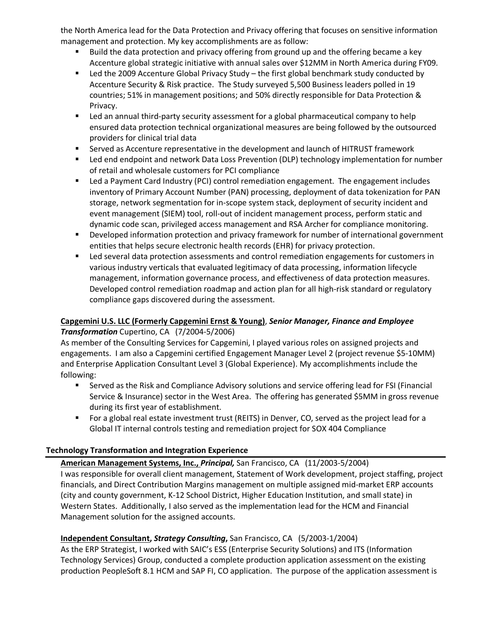the North America lead for the Data Protection and Privacy offering that focuses on sensitive information management and protection. My key accomplishments are as follow:

- <sup>■</sup> Build the data protection and privacy offering from ground up and the offering became a key Accenture global strategic initiative with annual sales over \$12MM in North America during FY09.
- Led the 2009 Accenture Global Privacy Study the first global benchmark study conducted by Accenture Security & Risk practice. The Study surveyed 5,500 Business leaders polled in 19 countries; 51% in management positions; and 50% directly responsible for Data Protection & Privacy.
- Led an annual third-party security assessment for a global pharmaceutical company to help ensured data protection technical organizational measures are being followed by the outsourced providers for clinical trial data
- **EXECT** Served as Accenture representative in the development and launch of HITRUST framework
- Led end endpoint and network Data Loss Prevention (DLP) technology implementation for number of retail and wholesale customers for PCI compliance
- Led a Payment Card Industry (PCI) control remediation engagement. The engagement includes inventory of Primary Account Number (PAN) processing, deployment of data tokenization for PAN storage, network segmentation for in-scope system stack, deployment of security incident and event management (SIEM) tool, roll-out of incident management process, perform static and dynamic code scan, privileged access management and RSA Archer for compliance monitoring.
- Developed information protection and privacy framework for number of international government entities that helps secure electronic health records (EHR) for privacy protection.
- Led several data protection assessments and control remediation engagements for customers in various industry verticals that evaluated legitimacy of data processing, information lifecycle management, information governance process, and effectiveness of data protection measures. Developed control remediation roadmap and action plan for all high-risk standard or regulatory compliance gaps discovered during the assessment.

# **Capgemini U.S. LLC (Formerly Capgemini Ernst & Young)**, *Senior Manager, Finance and Employee Transformation* Cupertino, CA (7/2004-5/2006)

As member of the Consulting Services for Capgemini, I played various roles on assigned projects and engagements. I am also a Capgemini certified Engagement Manager Level 2 (project revenue \$5-10MM) and Enterprise Application Consultant Level 3 (Global Experience). My accomplishments include the following:

- Served as the Risk and Compliance Advisory solutions and service offering lead for FSI (Financial Service & Insurance) sector in the West Area. The offering has generated \$5MM in gross revenue during its first year of establishment.
- For a global real estate investment trust (REITS) in Denver, CO, served as the project lead for a Global IT internal controls testing and remediation project for SOX 404 Compliance

# **Technology Transformation and Integration Experience**

# **American Management Systems, Inc.,** *Principal,* San Francisco, CA (11/2003-5/2004)

I was responsible for overall client management, Statement of Work development, project staffing, project financials, and Direct Contribution Margins management on multiple assigned mid-market ERP accounts (city and county government, K-12 School District, Higher Education Institution, and small state) in Western States. Additionally, I also served as the implementation lead for the HCM and Financial Management solution for the assigned accounts.

# **Independent Consultant,** *Strategy Consulting***,** San Francisco, CA (5/2003-1/2004)

As the ERP Strategist, I worked with SAIC's ESS (Enterprise Security Solutions) and ITS (Information Technology Services) Group, conducted a complete production application assessment on the existing production PeopleSoft 8.1 HCM and SAP FI, CO application. The purpose of the application assessment is